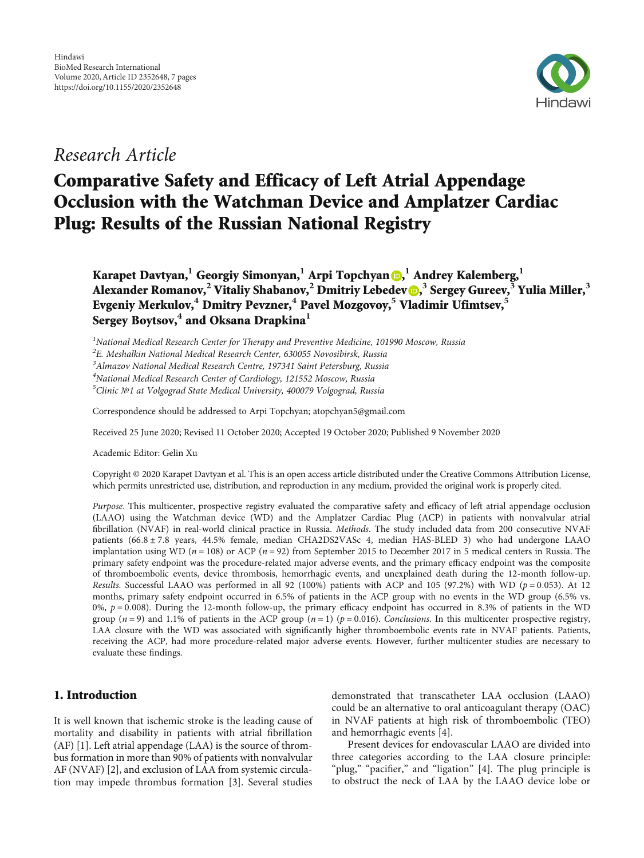

## Research Article

# Comparative Safety and Efficacy of Left Atrial Appendage Occlusion with the Watchman Device and Amplatzer Cardiac Plug: Results of the Russian National Registry

Karapet Davtyan,**<sup>1</sup>** Georgiy Simonyan,**<sup>1</sup>** Arpi Topchyan [,](https://orcid.org/0000-0001-7605-6316) **<sup>1</sup>** Andrey Kalemberg,**<sup>1</sup>** Alexander Romanov,**<sup>2</sup>** Vitaliy Shabanov,**<sup>2</sup>** Dmitriy Lebedev [,](https://orcid.org/0000-0002-2334-1663) **<sup>3</sup>** Sergey Gureev,**<sup>3</sup>** Yulia Miller,**<sup>3</sup>** Evgeniy Merkulov,**<sup>4</sup>** Dmitry Pevzner,**<sup>4</sup>** Pavel Mozgovoy,**<sup>5</sup>** Vladimir Ufimtsev,**<sup>5</sup>** Sergey Boytsov,**<sup>4</sup>** and Oksana Drapkina**<sup>1</sup>**

 $<sup>1</sup>$ National Medical Research Center for Therapy and Preventive Medicine, 101990 Moscow, Russia</sup>

 ${}^{2}$ E. Meshalkin National Medical Research Center, 630055 Novosibirsk, Russia

<sup>3</sup> Almazov National Medical Research Centre, 197341 Saint Petersburg, Russia

4 National Medical Research Center of Cardiology, 121552 Moscow, Russia

5 Clinic №1 at Volgograd State Medical University, 400079 Volgograd, Russia

Correspondence should be addressed to Arpi Topchyan; atopchyan5@gmail.com

Received 25 June 2020; Revised 11 October 2020; Accepted 19 October 2020; Published 9 November 2020

Academic Editor: Gelin Xu

Copyright © 2020 Karapet Davtyan et al. This is an open access article distributed under the [Creative Commons Attribution License](https://creativecommons.org/licenses/by/4.0/), which permits unrestricted use, distribution, and reproduction in any medium, provided the original work is properly cited.

Purpose. This multicenter, prospective registry evaluated the comparative safety and efficacy of left atrial appendage occlusion (LAAO) using the Watchman device (WD) and the Amplatzer Cardiac Plug (ACP) in patients with nonvalvular atrial fibrillation (NVAF) in real-world clinical practice in Russia. Methods. The study included data from 200 consecutive NVAF patients (66*:*8±7*:*8 years, 44.5% female, median CHA2DS2VASc 4, median HAS-BLED 3) who had undergone LAAO implantation using WD (*n* = 108) or ACP (*n* = 92) from September 2015 to December 2017 in 5 medical centers in Russia. The primary safety endpoint was the procedure-related major adverse events, and the primary efficacy endpoint was the composite of thromboembolic events, device thrombosis, hemorrhagic events, and unexplained death during the 12-month follow-up. Results. Successful LAAO was performed in all 92 (100%) patients with ACP and 105 (97.2%) with WD (*p* = 0*:*053). At 12 months, primary safety endpoint occurred in 6.5% of patients in the ACP group with no events in the WD group (6.5% vs. 0%, *p* = 0*:*008). During the 12-month follow-up, the primary efficacy endpoint has occurred in 8.3% of patients in the WD group ( $n = 9$ ) and 1.1% of patients in the ACP group ( $n = 1$ ) ( $p = 0.016$ ). Conclusions. In this multicenter prospective registry, LAA closure with the WD was associated with significantly higher thromboembolic events rate in NVAF patients. Patients, receiving the ACP, had more procedure-related major adverse events. However, further multicenter studies are necessary to evaluate these findings.

### 1. Introduction

It is well known that ischemic stroke is the leading cause of mortality and disability in patients with atrial fibrillation (AF) [[1](#page-5-0)]. Left atrial appendage (LAA) is the source of thrombus formation in more than 90% of patients with nonvalvular AF (NVAF) [[2\]](#page-5-0), and exclusion of LAA from systemic circulation may impede thrombus formation [\[3](#page-5-0)]. Several studies

demonstrated that transcatheter LAA occlusion (LAAO) could be an alternative to oral anticoagulant therapy (OAC) in NVAF patients at high risk of thromboembolic (TEO) and hemorrhagic events [[4](#page-5-0)].

Present devices for endovascular LAAO are divided into three categories according to the LAA closure principle: "plug," "pacifier," and "ligation" [[4](#page-5-0)]. The plug principle is to obstruct the neck of LAA by the LAAO device lobe or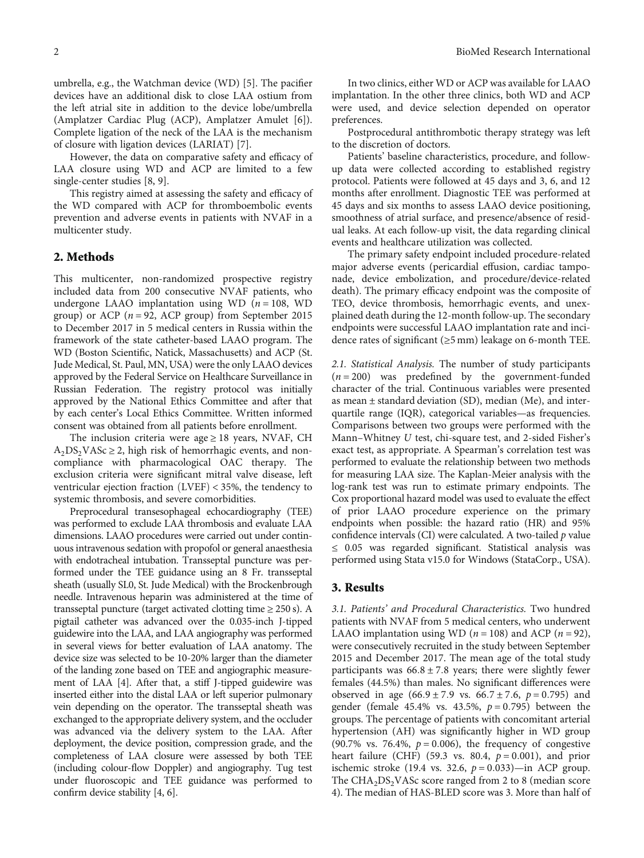umbrella, e.g., the Watchman device (WD) [[5](#page-5-0)]. The pacifier devices have an additional disk to close LAA ostium from the left atrial site in addition to the device lobe/umbrella (Amplatzer Cardiac Plug (ACP), Amplatzer Amulet [\[6\]](#page-5-0)). Complete ligation of the neck of the LAA is the mechanism of closure with ligation devices (LARIAT) [[7\]](#page-6-0).

However, the data on comparative safety and efficacy of LAA closure using WD and ACP are limited to a few single-center studies [\[8](#page-6-0), [9\]](#page-6-0).

This registry aimed at assessing the safety and efficacy of the WD compared with ACP for thromboembolic events prevention and adverse events in patients with NVAF in a multicenter study.

#### 2. Methods

This multicenter, non-randomized prospective registry included data from 200 consecutive NVAF patients, who undergone LAAO implantation using WD (*n* = 108, WD group) or ACP  $(n = 92, \text{ ACP}$  group) from September 2015 to December 2017 in 5 medical centers in Russia within the framework of the state catheter-based LAAO program. The WD (Boston Scientific, Natick, Massachusetts) and ACP (St. Jude Medical, St. Paul, MN, USA) were the only LAAO devices approved by the Federal Service on Healthcare Surveillance in Russian Federation. The registry protocol was initially approved by the National Ethics Committee and after that by each center's Local Ethics Committee. Written informed consent was obtained from all patients before enrollment.

The inclusion criteria were age  $\geq$  18 years, NVAF, CH  $A_2DS_2VASc \geq 2$ , high risk of hemorrhagic events, and noncompliance with pharmacological OAC therapy. The exclusion criteria were significant mitral valve disease, left ventricular ejection fraction (LVEF) < 35%, the tendency to systemic thrombosis, and severe comorbidities.

Preprocedural transesophageal echocardiography (TEE) was performed to exclude LAA thrombosis and evaluate LAA dimensions. LAAO procedures were carried out under continuous intravenous sedation with propofol or general anaesthesia with endotracheal intubation. Transseptal puncture was performed under the TEE guidance using an 8 Fr. transseptal sheath (usually SL0, St. Jude Medical) with the Brockenbrough needle. Intravenous heparin was administered at the time of transseptal puncture (target activated clotting time  $\geq 250$  s). A pigtail catheter was advanced over the 0.035-inch J-tipped guidewire into the LAA, and LAA angiography was performed in several views for better evaluation of LAA anatomy. The device size was selected to be 10-20% larger than the diameter of the landing zone based on TEE and angiographic measurement of LAA [\[4](#page-5-0)]. After that, a stiff J-tipped guidewire was inserted either into the distal LAA or left superior pulmonary vein depending on the operator. The transseptal sheath was exchanged to the appropriate delivery system, and the occluder was advanced via the delivery system to the LAA. After deployment, the device position, compression grade, and the completeness of LAA closure were assessed by both TEE (including colour-flow Doppler) and angiography. Tug test under fluoroscopic and TEE guidance was performed to confirm device stability [\[4, 6](#page-5-0)].

In two clinics, either WD or ACP was available for LAAO implantation. In the other three clinics, both WD and ACP were used, and device selection depended on operator preferences.

Postprocedural antithrombotic therapy strategy was left to the discretion of doctors.

Patients' baseline characteristics, procedure, and followup data were collected according to established registry protocol. Patients were followed at 45 days and 3, 6, and 12 months after enrollment. Diagnostic TEE was performed at 45 days and six months to assess LAAO device positioning, smoothness of atrial surface, and presence/absence of residual leaks. At each follow-up visit, the data regarding clinical events and healthcare utilization was collected.

The primary safety endpoint included procedure-related major adverse events (pericardial effusion, cardiac tamponade, device embolization, and procedure/device-related death). The primary efficacy endpoint was the composite of TEO, device thrombosis, hemorrhagic events, and unexplained death during the 12-month follow-up. The secondary endpoints were successful LAAO implantation rate and incidence rates of significant (≥5 mm) leakage on 6-month TEE.

2.1. Statistical Analysis. The number of study participants  $(n = 200)$  was predefined by the government-funded character of the trial. Continuous variables were presented as mean ± standard deviation (SD), median (Me), and interquartile range (IQR), categorical variables—as frequencies. Comparisons between two groups were performed with the Mann–Whitney *U* test, chi-square test, and 2-sided Fisher's exact test, as appropriate. A Spearman's correlation test was performed to evaluate the relationship between two methods for measuring LAA size. The Kaplan-Meier analysis with the log-rank test was run to estimate primary endpoints. The Cox proportional hazard model was used to evaluate the effect of prior LAAO procedure experience on the primary endpoints when possible: the hazard ratio (HR) and 95% confidence intervals (CI) were calculated. A two-tailed *p* value ≤ 0.05 was regarded significant. Statistical analysis was performed using Stata v15.0 for Windows (StataCorp., USA).

#### 3. Results

3.1. Patients' and Procedural Characteristics. Two hundred patients with NVAF from 5 medical centers, who underwent LAAO implantation using WD ( $n = 108$ ) and ACP ( $n = 92$ ), were consecutively recruited in the study between September 2015 and December 2017. The mean age of the total study participants was 66*:*8±7*:*8 years; there were slightly fewer females (44.5%) than males. No significant differences were observed in age (66*:*9±7*:*9 vs. 66*:*7±7*:*6, *p* = 0*:*795) and gender (female 45.4% vs. 43.5%, *p* = 0*:*795) between the groups. The percentage of patients with concomitant arterial hypertension (AH) was significantly higher in WD group (90.7% vs. 76.4%, *p* = 0*:*006), the frequency of congestive heart failure (CHF) (59.3 vs. 80.4, *p* = 0*:*001), and prior ischemic stroke (19.4 vs. 32.6, *p* = 0*:*033)—in ACP group. The  $CHA<sub>2</sub>DS<sub>2</sub>VASc$  score ranged from 2 to 8 (median score 4). The median of HAS-BLED score was 3. More than half of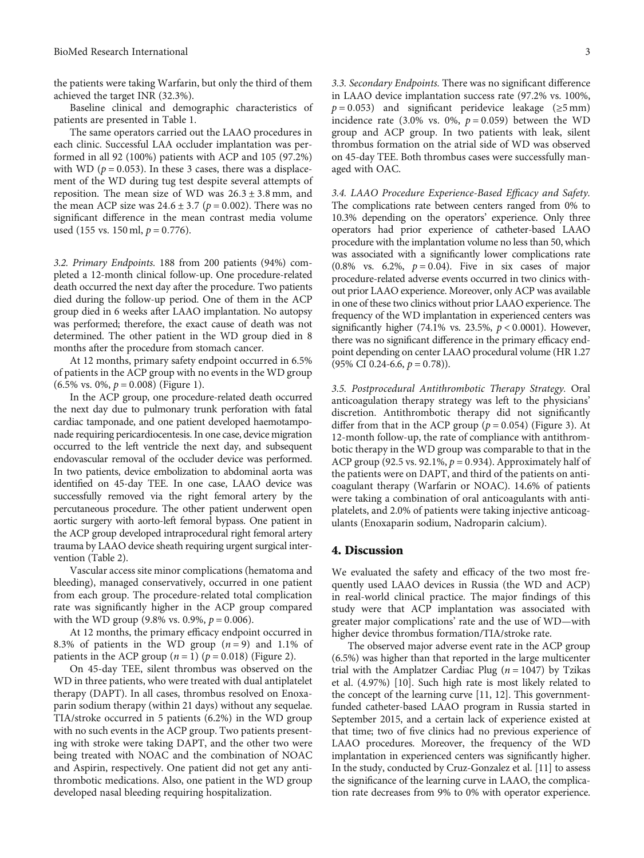the patients were taking Warfarin, but only the third of them achieved the target INR (32.3%).

Baseline clinical and demographic characteristics of patients are presented in Table [1.](#page-3-0)

The same operators carried out the LAAO procedures in each clinic. Successful LAA occluder implantation was performed in all 92 (100%) patients with ACP and 105 (97.2%) with WD ( $p = 0.053$ ). In these 3 cases, there was a displacement of the WD during tug test despite several attempts of reposition. The mean size of WD was 26*:*3±3*:*8 mm, and the mean ACP size was  $24.6 \pm 3.7$  ( $p = 0.002$ ). There was no significant difference in the mean contrast media volume used (155 vs. 150 ml, *p* = 0*:*776).

3.2. Primary Endpoints. 188 from 200 patients (94%) completed a 12-month clinical follow-up. One procedure-related death occurred the next day after the procedure. Two patients died during the follow-up period. One of them in the ACP group died in 6 weeks after LAAO implantation. No autopsy was performed; therefore, the exact cause of death was not determined. The other patient in the WD group died in 8 months after the procedure from stomach cancer.

At 12 months, primary safety endpoint occurred in 6.5% of patients in the ACP group with no events in the WD group (6.5% vs. 0%, *p* = 0*:*008) (Figure [1\)](#page-3-0).

In the ACP group, one procedure-related death occurred the next day due to pulmonary trunk perforation with fatal cardiac tamponade, and one patient developed haemotamponade requiring pericardiocentesis. In one case, device migration occurred to the left ventricle the next day, and subsequent endovascular removal of the occluder device was performed. In two patients, device embolization to abdominal aorta was identified on 45-day TEE. In one case, LAAO device was successfully removed via the right femoral artery by the percutaneous procedure. The other patient underwent open aortic surgery with aorto-left femoral bypass. One patient in the ACP group developed intraprocedural right femoral artery trauma by LAAO device sheath requiring urgent surgical intervention (Table [2\)](#page-4-0).

Vascular access site minor complications (hematoma and bleeding), managed conservatively, occurred in one patient from each group. The procedure-related total complication rate was significantly higher in the ACP group compared with the WD group  $(9.8\% \text{ vs. } 0.9\%, p = 0.006)$ .

At 12 months, the primary efficacy endpoint occurred in 8.3% of patients in the WD group  $(n=9)$  and 1.1% of patients in the ACP group  $(n = 1)$   $(p = 0.018)$  (Figure [2](#page-4-0)).

On 45-day TEE, silent thrombus was observed on the WD in three patients, who were treated with dual antiplatelet therapy (DAPT). In all cases, thrombus resolved on Enoxaparin sodium therapy (within 21 days) without any sequelae. TIA/stroke occurred in 5 patients (6.2%) in the WD group with no such events in the ACP group. Two patients presenting with stroke were taking DAPT, and the other two were being treated with NOAC and the combination of NOAC and Aspirin, respectively. One patient did not get any antithrombotic medications. Also, one patient in the WD group developed nasal bleeding requiring hospitalization.

3.3. Secondary Endpoints. There was no significant difference in LAAO device implantation success rate (97.2% vs. 100%,  $p = 0.053$ ) and significant peridevice leakage ( $\ge 5$  mm) incidence rate (3.0% vs. 0%,  $p = 0.059$ ) between the WD group and ACP group. In two patients with leak, silent thrombus formation on the atrial side of WD was observed on 45-day TEE. Both thrombus cases were successfully managed with OAC.

3.4. LAAO Procedure Experience-Based Efficacy and Safety. The complications rate between centers ranged from 0% to 10.3% depending on the operators' experience. Only three operators had prior experience of catheter-based LAAO procedure with the implantation volume no less than 50, which was associated with a significantly lower complications rate (0.8% vs. 6.2%,  $p = 0.04$ ). Five in six cases of major procedure-related adverse events occurred in two clinics without prior LAAO experience. Moreover, only ACP was available in one of these two clinics without prior LAAO experience. The frequency of the WD implantation in experienced centers was significantly higher (74.1% vs. 23.5%, *p* < 0*:*0001). However, there was no significant difference in the primary efficacy endpoint depending on center LAAO procedural volume (HR 1.27 (95% CI 0.24-6.6, *p* = 0*:*78)).

3.5. Postprocedural Antithrombotic Therapy Strategy. Oral anticoagulation therapy strategy was left to the physicians' discretion. Antithrombotic therapy did not significantly differ from that in the ACP group ( $p = 0.054$ ) (Figure [3\)](#page-4-0). At 12-month follow-up, the rate of compliance with antithrombotic therapy in the WD group was comparable to that in the ACP group (92.5 vs. 92.1%, *p* = 0*:*934). Approximately half of the patients were on DAPT, and third of the patients on anticoagulant therapy (Warfarin or NOAC). 14.6% of patients were taking a combination of oral anticoagulants with antiplatelets, and 2.0% of patients were taking injective anticoagulants (Enoxaparin sodium, Nadroparin calcium).

#### 4. Discussion

We evaluated the safety and efficacy of the two most frequently used LAAO devices in Russia (the WD and ACP) in real-world clinical practice. The major findings of this study were that ACP implantation was associated with greater major complications' rate and the use of WD—with higher device thrombus formation/TIA/stroke rate.

The observed major adverse event rate in the ACP group (6.5%) was higher than that reported in the large multicenter trial with the Amplatzer Cardiac Plug ( $n = 1047$ ) by Tzikas et al. (4.97%) [[10](#page-6-0)]. Such high rate is most likely related to the concept of the learning curve [\[11, 12](#page-6-0)]. This governmentfunded catheter-based LAAO program in Russia started in September 2015, and a certain lack of experience existed at that time; two of five clinics had no previous experience of LAAO procedures. Moreover, the frequency of the WD implantation in experienced centers was significantly higher. In the study, conducted by Cruz-Gonzalez et al. [[11](#page-6-0)] to assess the significance of the learning curve in LAAO, the complication rate decreases from 9% to 0% with operator experience.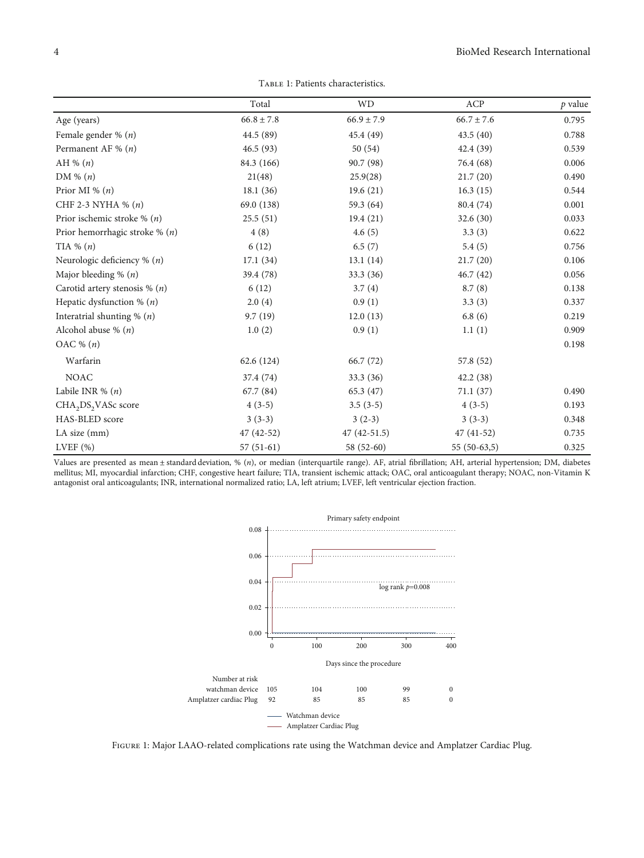Table 1: Patients characteristics.

<span id="page-3-0"></span>

|                                             | Total          | <b>WD</b>      | ACP            | $p$ value |
|---------------------------------------------|----------------|----------------|----------------|-----------|
| Age (years)                                 | $66.8 \pm 7.8$ | $66.9 \pm 7.9$ | $66.7 \pm 7.6$ | 0.795     |
| Female gender % $(n)$                       | 44.5 (89)      | 45.4 (49)      | 43.5(40)       | 0.788     |
| Permanent AF % $(n)$                        | 46.5(93)       | 50(54)         | 42.4 (39)      | 0.539     |
| AH % $(n)$                                  | 84.3 (166)     | 90.7 (98)      | 76.4 (68)      | 0.006     |
| DM % $(n)$                                  | 21(48)         | 25.9(28)       | 21.7(20)       | 0.490     |
| Prior MI % $(n)$                            | 18.1(36)       | 19.6(21)       | 16.3(15)       | 0.544     |
| CHF 2-3 NYHA % $(n)$                        | 69.0 (138)     | 59.3 (64)      | 80.4 (74)      | 0.001     |
| Prior ischemic stroke % $(n)$               | 25.5(51)       | 19.4(21)       | 32.6(30)       | 0.033     |
| Prior hemorrhagic stroke % $(n)$            | 4(8)           | 4.6(5)         | 3.3(3)         | 0.622     |
| TIA % $(n)$                                 | 6(12)          | 6.5(7)         | 5.4(5)         | 0.756     |
| Neurologic deficiency $\%$ ( <i>n</i> )     | 17.1(34)       | 13.1(14)       | 21.7(20)       | 0.106     |
| Major bleeding % $(n)$                      | 39.4 (78)      | 33.3 (36)      | 46.7(42)       | 0.056     |
| Carotid artery stenosis % $(n)$             | 6(12)          | 3.7(4)         | 8.7(8)         | 0.138     |
| Hepatic dysfunction % $(n)$                 | 2.0(4)         | 0.9(1)         | 3.3(3)         | 0.337     |
| Interatrial shunting $% (n)$                | 9.7(19)        | 12.0(13)       | 6.8(6)         | 0.219     |
| Alcohol abuse % $(n)$                       | 1.0(2)         | 0.9(1)         | 1.1(1)         | 0.909     |
| OAC % $(n)$                                 |                |                |                | 0.198     |
| Warfarin                                    | 62.6 (124)     | 66.7 (72)      | 57.8 (52)      |           |
| <b>NOAC</b>                                 | 37.4 (74)      | 33.3 (36)      | 42.2(38)       |           |
| Labile INR % $(n)$                          | 67.7 (84)      | 65.3(47)       | 71.1(37)       | 0.490     |
| CHA <sub>2</sub> DS <sub>2</sub> VASc score | $4(3-5)$       | $3.5(3-5)$     | $4(3-5)$       | 0.193     |
| HAS-BLED score                              | $3(3-3)$       | $3(2-3)$       | $3(3-3)$       | 0.348     |
| LA size (mm)                                | $47(42-52)$    | $47(42-51.5)$  | $47(41-52)$    | 0.735     |
| LVEF $(\%)$                                 | $57(51-61)$    | 58 (52-60)     | $55(50-63,5)$  | 0.325     |

Values are presented as mean ± standard deviation,%(*n*), or median (interquartile range). AF, atrial fibrillation; AH, arterial hypertension; DM, diabetes mellitus; MI, myocardial infarction; CHF, congestive heart failure; TIA, transient ischemic attack; OAC, oral anticoagulant therapy; NOAC, non-Vitamin K antagonist oral anticoagulants; INR, international normalized ratio; LA, left atrium; LVEF, left ventricular ejection fraction.



Figure 1: Major LAAO-related complications rate using the Watchman device and Amplatzer Cardiac Plug.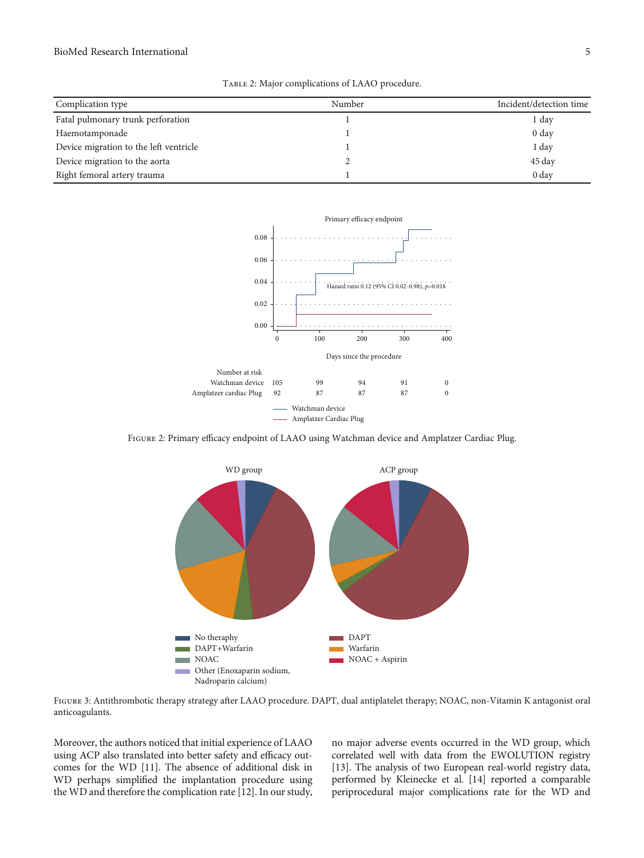#### <span id="page-4-0"></span>BioMed Research International 5

| Complication type                      | Number | Incident/detection time |
|----------------------------------------|--------|-------------------------|
| Fatal pulmonary trunk perforation      |        | 1 day                   |
| Haemotamponade                         |        | $0 \text{ day}$         |
| Device migration to the left ventricle |        | 1 day                   |
| Device migration to the aorta          |        | 45 day                  |
| Right femoral artery trauma            |        | 0 <sub>day</sub>        |



Figure 2: Primary efficacy endpoint of LAAO using Watchman device and Amplatzer Cardiac Plug.



FIGURE 3: Antithrombotic therapy strategy after LAAO procedure. DAPT, dual antiplatelet therapy; NOAC, non-Vitamin K antagonist oral anticoagulants.

Moreover, the authors noticed that initial experience of LAAO using ACP also translated into better safety and efficacy outcomes for the WD [[11](#page-6-0)]. The absence of additional disk in WD perhaps simplified the implantation procedure using the WD and therefore the complication rate [[12\]](#page-6-0). In our study, no major adverse events occurred in the WD group, which correlated well with data from the EWOLUTION registry [\[13\]](#page-6-0). The analysis of two European real-world registry data, performed by Kleinecke et al. [\[14](#page-6-0)] reported a comparable periprocedural major complications rate for the WD and

Table 2: Major complications of LAAO procedure.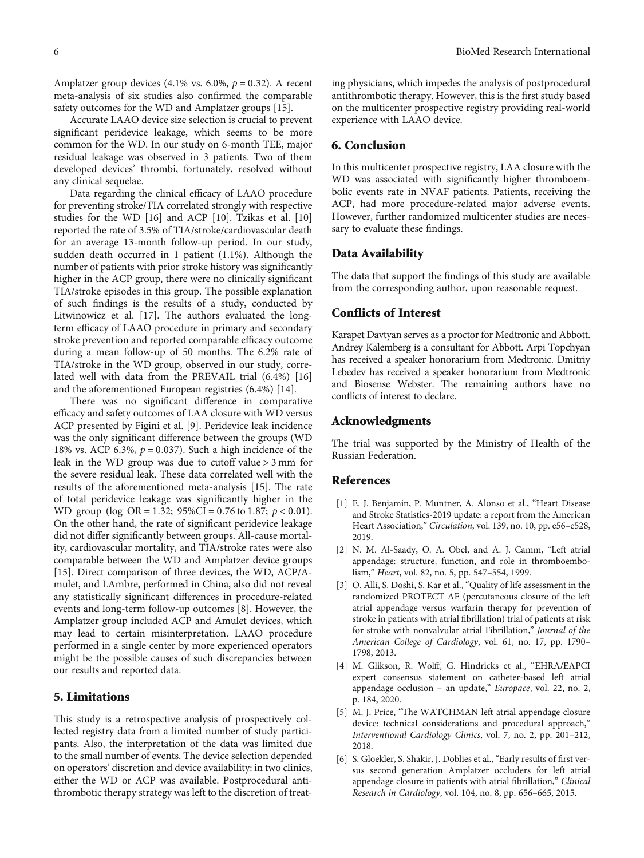<span id="page-5-0"></span>Amplatzer group devices (4.1% vs. 6.0%, *p* = 0*:*32). A recent meta-analysis of six studies also confirmed the comparable safety outcomes for the WD and Amplatzer groups [\[15](#page-6-0)].

Accurate LAAO device size selection is crucial to prevent significant peridevice leakage, which seems to be more common for the WD. In our study on 6-month TEE, major residual leakage was observed in 3 patients. Two of them developed devices' thrombi, fortunately, resolved without any clinical sequelae.

Data regarding the clinical efficacy of LAAO procedure for preventing stroke/TIA correlated strongly with respective studies for the WD [\[16\]](#page-6-0) and ACP [[10\]](#page-6-0). Tzikas et al. [[10\]](#page-6-0) reported the rate of 3.5% of TIA/stroke/cardiovascular death for an average 13-month follow-up period. In our study, sudden death occurred in 1 patient (1.1%). Although the number of patients with prior stroke history was significantly higher in the ACP group, there were no clinically significant TIA/stroke episodes in this group. The possible explanation of such findings is the results of a study, conducted by Litwinowicz et al. [\[17\]](#page-6-0). The authors evaluated the longterm efficacy of LAAO procedure in primary and secondary stroke prevention and reported comparable efficacy outcome during a mean follow-up of 50 months. The 6.2% rate of TIA/stroke in the WD group, observed in our study, correlated well with data from the PREVAIL trial (6.4%) [[16\]](#page-6-0) and the aforementioned European registries (6.4%) [\[14\]](#page-6-0).

There was no significant difference in comparative efficacy and safety outcomes of LAA closure with WD versus ACP presented by Figini et al. [\[9\]](#page-6-0). Peridevice leak incidence was the only significant difference between the groups (WD 18% vs. ACP 6.3%, *p* = 0*:*037). Such a high incidence of the leak in the WD group was due to cutoff value > 3 mm for the severe residual leak. These data correlated well with the results of the aforementioned meta-analysis [\[15\]](#page-6-0). The rate of total peridevice leakage was significantly higher in the WD group (log OR = 1*:*32; 95*%*CI = 0*:*76 to 1*:*87; *p* < 0*:*01). On the other hand, the rate of significant peridevice leakage did not differ significantly between groups. All-cause mortality, cardiovascular mortality, and TIA/stroke rates were also comparable between the WD and Amplatzer device groups [\[15](#page-6-0)]. Direct comparison of three devices, the WD, ACP/Amulet, and LAmbre, performed in China, also did not reveal any statistically significant differences in procedure-related events and long-term follow-up outcomes [\[8](#page-6-0)]. However, the Amplatzer group included ACP and Amulet devices, which may lead to certain misinterpretation. LAAO procedure performed in a single center by more experienced operators might be the possible causes of such discrepancies between our results and reported data.

#### 5. Limitations

This study is a retrospective analysis of prospectively collected registry data from a limited number of study participants. Also, the interpretation of the data was limited due to the small number of events. The device selection depended on operators' discretion and device availability: in two clinics, either the WD or ACP was available. Postprocedural antithrombotic therapy strategy was left to the discretion of treating physicians, which impedes the analysis of postprocedural antithrombotic therapy. However, this is the first study based on the multicenter prospective registry providing real-world experience with LAAO device.

#### 6. Conclusion

In this multicenter prospective registry, LAA closure with the WD was associated with significantly higher thromboembolic events rate in NVAF patients. Patients, receiving the ACP, had more procedure-related major adverse events. However, further randomized multicenter studies are necessary to evaluate these findings.

#### Data Availability

The data that support the findings of this study are available from the corresponding author, upon reasonable request.

#### Conflicts of Interest

Karapet Davtyan serves as a proctor for Medtronic and Abbott. Andrey Kalemberg is a consultant for Abbott. Arpi Topchyan has received a speaker honorarium from Medtronic. Dmitriy Lebedev has received a speaker honorarium from Medtronic and Biosense Webster. The remaining authors have no conflicts of interest to declare.

#### Acknowledgments

The trial was supported by the Ministry of Health of the Russian Federation.

#### References

- [1] E. J. Benjamin, P. Muntner, A. Alonso et al., "Heart Disease and Stroke Statistics-2019 update: a report from the American Heart Association," Circulation, vol. 139, no. 10, pp. e56–e528, 2019.
- [2] N. M. Al-Saady, O. A. Obel, and A. J. Camm, "Left atrial appendage: structure, function, and role in thromboembolism," Heart, vol. 82, no. 5, pp. 547–554, 1999.
- [3] O. Alli, S. Doshi, S. Kar et al., "Quality of life assessment in the randomized PROTECT AF (percutaneous closure of the left atrial appendage versus warfarin therapy for prevention of stroke in patients with atrial fibrillation) trial of patients at risk for stroke with nonvalvular atrial Fibrillation," Journal of the American College of Cardiology, vol. 61, no. 17, pp. 1790– 1798, 2013.
- [4] M. Glikson, R. Wolff, G. Hindricks et al., "EHRA/EAPCI expert consensus statement on catheter-based left atrial appendage occlusion – an update," Europace, vol. 22, no. 2, p. 184, 2020.
- [5] M. J. Price, "The WATCHMAN left atrial appendage closure device: technical considerations and procedural approach," Interventional Cardiology Clinics, vol. 7, no. 2, pp. 201–212, 2018.
- [6] S. Gloekler, S. Shakir, J. Doblies et al., "Early results of first versus second generation Amplatzer occluders for left atrial appendage closure in patients with atrial fibrillation," Clinical Research in Cardiology, vol. 104, no. 8, pp. 656–665, 2015.